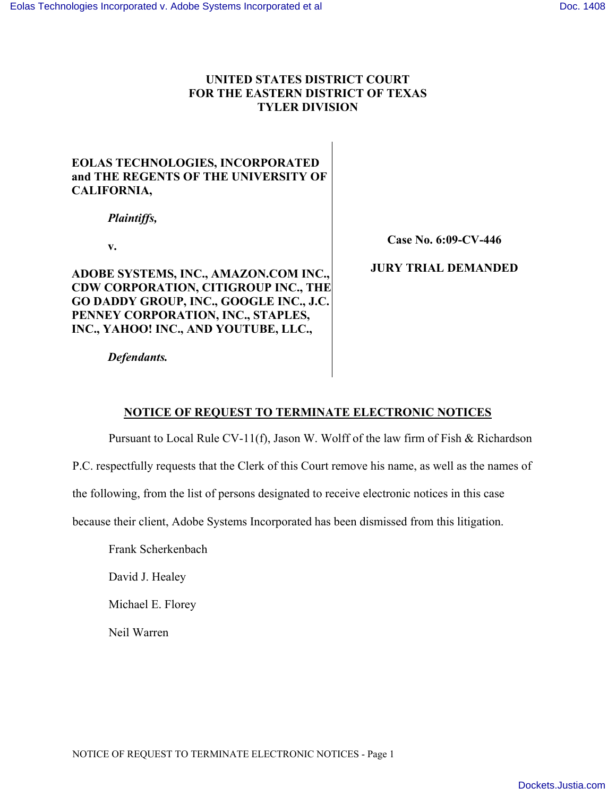## **UNITED STATES DISTRICT COURT FOR THE EASTERN DISTRICT OF TEXAS TYLER DIVISION**

# **EOLAS TECHNOLOGIES, INCORPORATED and THE REGENTS OF THE UNIVERSITY OF CALIFORNIA,**

*Plaintiffs,* 

**v.** 

**ADOBE SYSTEMS, INC., AMAZON.COM INC., CDW CORPORATION, CITIGROUP INC., THE GO DADDY GROUP, INC., GOOGLE INC., J.C. PENNEY CORPORATION, INC., STAPLES, INC., YAHOO! INC., AND YOUTUBE, LLC.,** 

**Case No. 6:09-CV-446** 

### **JURY TRIAL DEMANDED**

 *Defendants.* 

# **NOTICE OF REQUEST TO TERMINATE ELECTRONIC NOTICES**

Pursuant to Local Rule CV-11(f), Jason W. Wolff of the law firm of Fish  $\&$  Richardson

P.C. respectfully requests that the Clerk of this Court remove his name, as well as the names of

the following, from the list of persons designated to receive electronic notices in this case

because their client, Adobe Systems Incorporated has been dismissed from this litigation.

Frank Scherkenbach

David J. Healey

Michael E. Florey

Neil Warren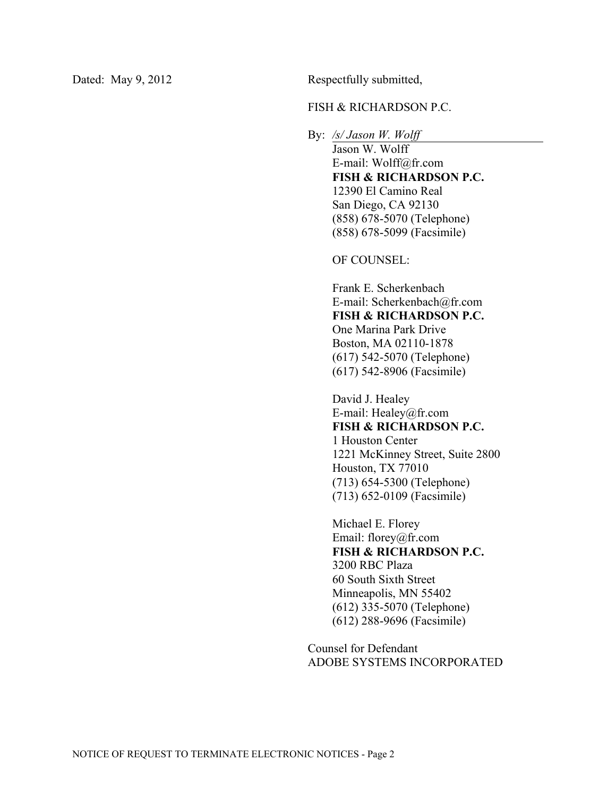Dated: May 9, 2012 Respectfully submitted,

#### FISH & RICHARDSON P.C.

By: */s/ Jason W. Wolff* 

 Jason W. Wolff E-mail: Wolff@fr.com **FISH & RICHARDSON P.C.**  12390 El Camino Real San Diego, CA 92130 (858) 678-5070 (Telephone) (858) 678-5099 (Facsimile)

OF COUNSEL:

Frank E. Scherkenbach E-mail: Scherkenbach@fr.com **FISH & RICHARDSON P.C.**  One Marina Park Drive Boston, MA 02110-1878

(617) 542-5070 (Telephone) (617) 542-8906 (Facsimile)

David J. Healey E-mail: Healey@fr.com **FISH & RICHARDSON P.C.**  1 Houston Center 1221 McKinney Street, Suite 2800 Houston, TX 77010 (713) 654-5300 (Telephone) (713) 652-0109 (Facsimile)

Michael E. Florey Email: florey@fr.com **FISH & RICHARDSON P.C.**  3200 RBC Plaza 60 South Sixth Street Minneapolis, MN 55402 (612) 335-5070 (Telephone) (612) 288-9696 (Facsimile)

Counsel for Defendant ADOBE SYSTEMS INCORPORATED